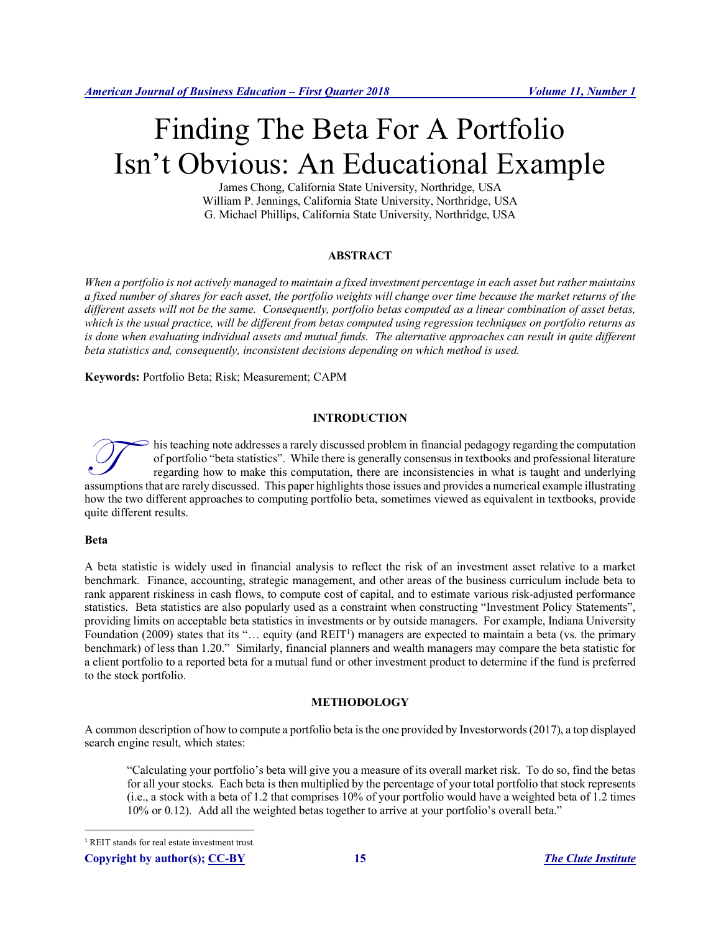# Finding The Beta For A Portfolio Isn't Obvious: An Educational Example

James Chong, California State University, Northridge, USA William P. Jennings, California State University, Northridge, USA G. Michael Phillips, California State University, Northridge, USA

# **ABSTRACT**

*When a portfolio is not actively managed to maintain a fixed investment percentage in each asset but rather maintains a fixed number of shares for each asset, the portfolio weights will change over time because the market returns of the different assets will not be the same. Consequently, portfolio betas computed as a linear combination of asset betas, which is the usual practice, will be different from betas computed using regression techniques on portfolio returns as*  is done when evaluating individual assets and mutual funds. The alternative approaches can result in quite different *beta statistics and, consequently, inconsistent decisions depending on which method is used.* 

**Keywords:** Portfolio Beta; Risk; Measurement; CAPM

#### **INTRODUCTION**

his teaching note addresses a rarely discussed problem in financial pedagogy regarding the computation of portfolio "beta statistics". While there is generally consensus in textbooks and professional literature regarding how to make this computation, there are inconsistencies in what is taught and underlying This teaching note addresses a rarely discussed problem in financial pedagogy regarding the computation of portfolio "beta statistics". While there is generally consensus in textbooks and professional literature regarding how the two different approaches to computing portfolio beta, sometimes viewed as equivalent in textbooks, provide quite different results.

#### **Beta**

A beta statistic is widely used in financial analysis to reflect the risk of an investment asset relative to a market benchmark. Finance, accounting, strategic management, and other areas of the business curriculum include beta to rank apparent riskiness in cash flows, to compute cost of capital, and to estimate various risk-adjusted performance statistics. Beta statistics are also popularly used as a constraint when constructing "Investment Policy Statements", providing limits on acceptable beta statistics in investments or by outside managers. For example, Indiana University Foundation (2009) states that its "... equity (and REIT<sup>1</sup>) managers are expected to maintain a beta (vs. the primary benchmark) of less than 1.20." Similarly, financial planners and wealth managers may compare the beta statistic for a client portfolio to a reported beta for a mutual fund or other investment product to determine if the fund is preferred to the stock portfolio.

#### **METHODOLOGY**

A common description of how to compute a portfolio beta is the one provided by Investorwords (2017), a top displayed search engine result, which states:

"Calculating your portfolio's beta will give you a measure of its overall market risk. To do so, find the betas for all your stocks. Each beta is then multiplied by the percentage of your total portfolio that stock represents (i.e., a stock with a beta of 1.2 that comprises 10% of your portfolio would have a weighted beta of 1.2 times 10% or 0.12). Add all the weighted betas together to arrive at your portfolio's overall beta."

 <sup>1</sup> REIT stands for real estate investment trust.

**Copyright by author(s); CC-BY 15** *The Clute Institute*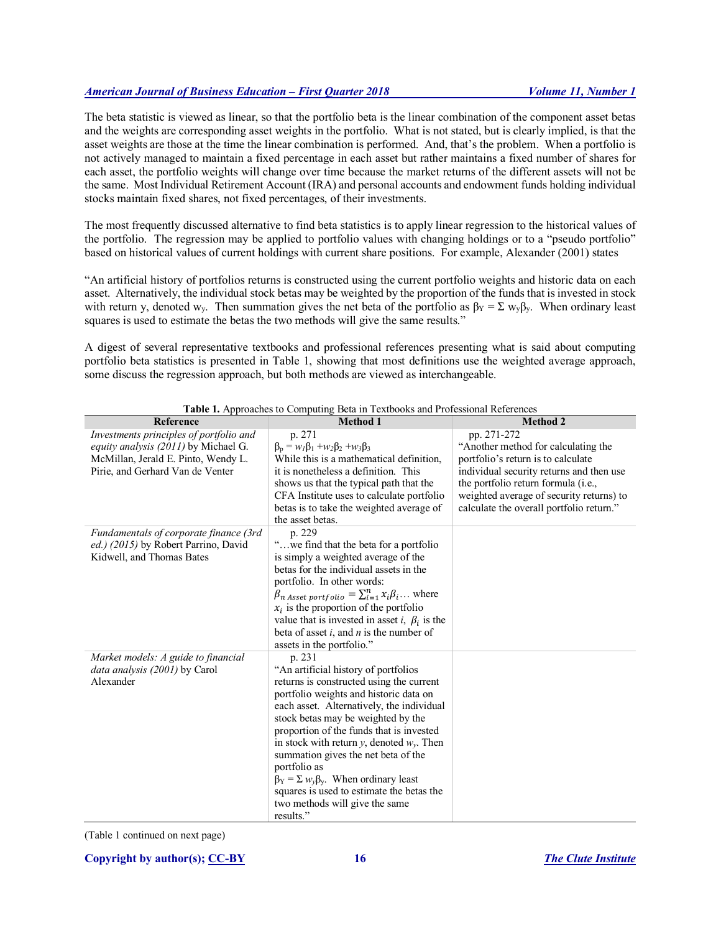The beta statistic is viewed as linear, so that the portfolio beta is the linear combination of the component asset betas and the weights are corresponding asset weights in the portfolio. What is not stated, but is clearly implied, is that the asset weights are those at the time the linear combination is performed. And, that's the problem. When a portfolio is not actively managed to maintain a fixed percentage in each asset but rather maintains a fixed number of shares for each asset, the portfolio weights will change over time because the market returns of the different assets will not be the same. Most Individual Retirement Account (IRA) and personal accounts and endowment funds holding individual stocks maintain fixed shares, not fixed percentages, of their investments.

The most frequently discussed alternative to find beta statistics is to apply linear regression to the historical values of the portfolio. The regression may be applied to portfolio values with changing holdings or to a "pseudo portfolio" based on historical values of current holdings with current share positions. For example, Alexander (2001) states

"An artificial history of portfolios returns is constructed using the current portfolio weights and historic data on each asset. Alternatively, the individual stock betas may be weighted by the proportion of the funds that is invested in stock with return y, denoted w<sub>y</sub>. Then summation gives the net beta of the portfolio as  $\beta_Y = \sum w_y \beta_y$ . When ordinary least squares is used to estimate the betas the two methods will give the same results."

A digest of several representative textbooks and professional references presenting what is said about computing portfolio beta statistics is presented in Table 1, showing that most definitions use the weighted average approach, some discuss the regression approach, but both methods are viewed as interchangeable.

| Reference                                                                                                                                                  | $\frac{1}{2}$ reproduced to comparing bear in Textocons and Froressional recretering<br><b>Method 1</b>                                                                                                                                                                                                                                                                                                                                                                                                                      | <b>Method 2</b>                                                                                                                                                                                                                                                     |
|------------------------------------------------------------------------------------------------------------------------------------------------------------|------------------------------------------------------------------------------------------------------------------------------------------------------------------------------------------------------------------------------------------------------------------------------------------------------------------------------------------------------------------------------------------------------------------------------------------------------------------------------------------------------------------------------|---------------------------------------------------------------------------------------------------------------------------------------------------------------------------------------------------------------------------------------------------------------------|
| Investments principles of portfolio and<br>equity analysis (2011) by Michael G.<br>McMillan, Jerald E. Pinto, Wendy L.<br>Pirie, and Gerhard Van de Venter | p. 271<br>$\beta_p = w_l \beta_1 + w_2 \beta_2 + w_3 \beta_3$<br>While this is a mathematical definition,<br>it is nonetheless a definition. This<br>shows us that the typical path that the<br>CFA Institute uses to calculate portfolio<br>betas is to take the weighted average of<br>the asset betas.                                                                                                                                                                                                                    | pp. 271-272<br>"Another method for calculating the<br>portfolio's return is to calculate<br>individual security returns and then use<br>the portfolio return formula (i.e.,<br>weighted average of security returns) to<br>calculate the overall portfolio return." |
| Fundamentals of corporate finance (3rd<br>ed.) (2015) by Robert Parrino, David<br>Kidwell, and Thomas Bates                                                | p. 229<br>"we find that the beta for a portfolio<br>is simply a weighted average of the<br>betas for the individual assets in the<br>portfolio. In other words:<br>$\beta_{n}$ <i>Asset portfolio</i> = $\sum_{i=1}^{n} x_i \beta_i$ where<br>$x_i$ is the proportion of the portfolio<br>value that is invested in asset <i>i</i> , $\beta_i$ is the<br>beta of asset $i$ , and $n$ is the number of<br>assets in the portfolio."                                                                                           |                                                                                                                                                                                                                                                                     |
| Market models: A guide to financial<br>data analysis (2001) by Carol<br>Alexander                                                                          | p. 231<br>"An artificial history of portfolios<br>returns is constructed using the current<br>portfolio weights and historic data on<br>each asset. Alternatively, the individual<br>stock betas may be weighted by the<br>proportion of the funds that is invested<br>in stock with return y, denoted $w_v$ . Then<br>summation gives the net beta of the<br>portfolio as<br>$\beta_Y = \sum w_y \beta_y$ . When ordinary least<br>squares is used to estimate the betas the<br>two methods will give the same<br>results." |                                                                                                                                                                                                                                                                     |

**Table 1.** Approaches to Computing Beta in Textbooks and Professional References

(Table 1 continued on next page)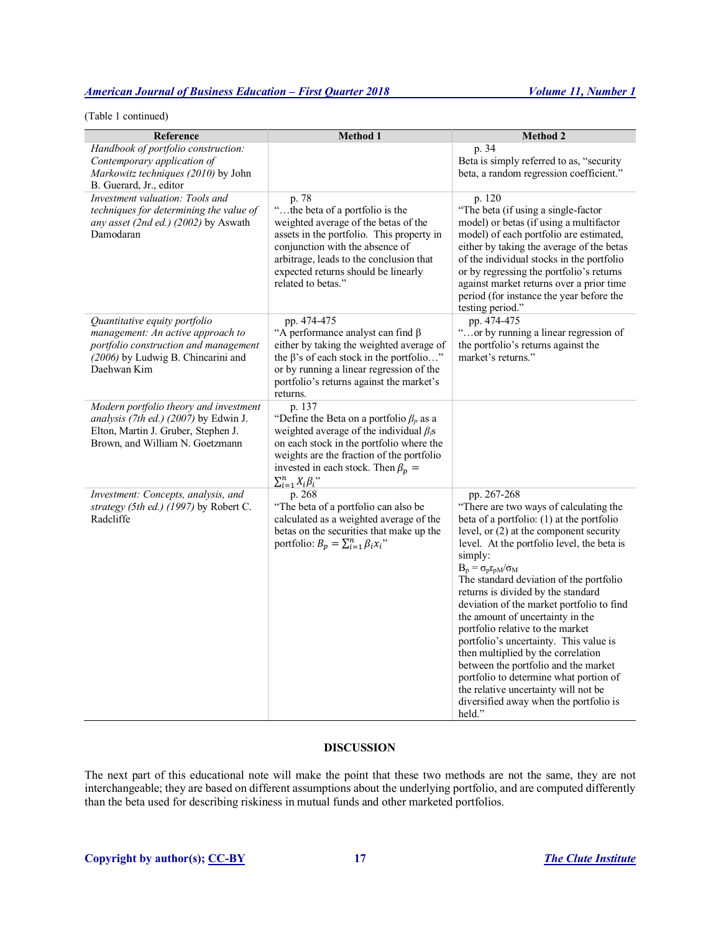(Table 1 continued)

| Reference                                                                                                                                                        | <b>Method 1</b>                                                                                                                                                                                                                                                                 | <b>Method 2</b>                                                                                                                                                                                                                                                                                                                                                                                                                                                                                                                                                                                                                                                                                                    |
|------------------------------------------------------------------------------------------------------------------------------------------------------------------|---------------------------------------------------------------------------------------------------------------------------------------------------------------------------------------------------------------------------------------------------------------------------------|--------------------------------------------------------------------------------------------------------------------------------------------------------------------------------------------------------------------------------------------------------------------------------------------------------------------------------------------------------------------------------------------------------------------------------------------------------------------------------------------------------------------------------------------------------------------------------------------------------------------------------------------------------------------------------------------------------------------|
| Handbook of portfolio construction:<br>Contemporary application of<br>Markowitz techniques (2010) by John<br>B. Guerard, Jr., editor                             |                                                                                                                                                                                                                                                                                 | p. 34<br>Beta is simply referred to as, "security<br>beta, a random regression coefficient."                                                                                                                                                                                                                                                                                                                                                                                                                                                                                                                                                                                                                       |
| Investment valuation: Tools and<br>techniques for determining the value of<br>any asset (2nd ed.) (2002) by Aswath<br>Damodaran                                  | p. 78<br>"the beta of a portfolio is the<br>weighted average of the betas of the<br>assets in the portfolio. This property in<br>conjunction with the absence of<br>arbitrage, leads to the conclusion that<br>expected returns should be linearly<br>related to betas."        | p. 120<br>"The beta (if using a single-factor<br>model) or betas (if using a multifactor<br>model) of each portfolio are estimated,<br>either by taking the average of the betas<br>of the individual stocks in the portfolio<br>or by regressing the portfolio's returns<br>against market returns over a prior time<br>period (for instance the year before the<br>testing period."                                                                                                                                                                                                                                                                                                                              |
| Quantitative equity portfolio<br>management: An active approach to<br>portfolio construction and management<br>(2006) by Ludwig B. Chincarini and<br>Daehwan Kim | pp. 474-475<br>"A performance analyst can find $\beta$<br>either by taking the weighted average of<br>the $\beta$ 's of each stock in the portfolio"<br>or by running a linear regression of the<br>portfolio's returns against the market's<br>returns.                        | pp. 474-475<br>"or by running a linear regression of<br>the portfolio's returns against the<br>market's returns."                                                                                                                                                                                                                                                                                                                                                                                                                                                                                                                                                                                                  |
| Modern portfolio theory and investment<br>analysis (7th ed.) (2007) by Edwin J.<br>Elton, Martin J. Gruber, Stephen J.<br>Brown, and William N. Goetzmann        | p. 137<br>"Define the Beta on a portfolio $\beta_p$ as a<br>weighted average of the individual $\beta_i$ s<br>on each stock in the portfolio where the<br>weights are the fraction of the portfolio<br>invested in each stock. Then $\beta_p =$<br>$\sum_{i=1}^n X_i \beta_i$ " |                                                                                                                                                                                                                                                                                                                                                                                                                                                                                                                                                                                                                                                                                                                    |
| Investment: Concepts, analysis, and<br>strategy (5th ed.) (1997) by Robert C.<br>Radcliffe                                                                       | p. 268<br>"The beta of a portfolio can also be<br>calculated as a weighted average of the<br>betas on the securities that make up the<br>portfolio: $B_p = \sum_{i=1}^n \beta_i x_i$ "                                                                                          | pp. 267-268<br>"There are two ways of calculating the<br>beta of a portfolio: $(1)$ at the portfolio<br>level, or $(2)$ at the component security<br>level. At the portfolio level, the beta is<br>simply:<br>$B_p = \sigma_p r_{pM}/\sigma_M$<br>The standard deviation of the portfolio<br>returns is divided by the standard<br>deviation of the market portfolio to find<br>the amount of uncertainty in the<br>portfolio relative to the market<br>portfolio's uncertainty. This value is<br>then multiplied by the correlation<br>between the portfolio and the market<br>portfolio to determine what portion of<br>the relative uncertainty will not be<br>diversified away when the portfolio is<br>held." |

# **DISCUSSION**

The next part of this educational note will make the point that these two methods are not the same, they are not interchangeable; they are based on different assumptions about the underlying portfolio, and are computed differently than the beta used for describing riskiness in mutual funds and other marketed portfolios.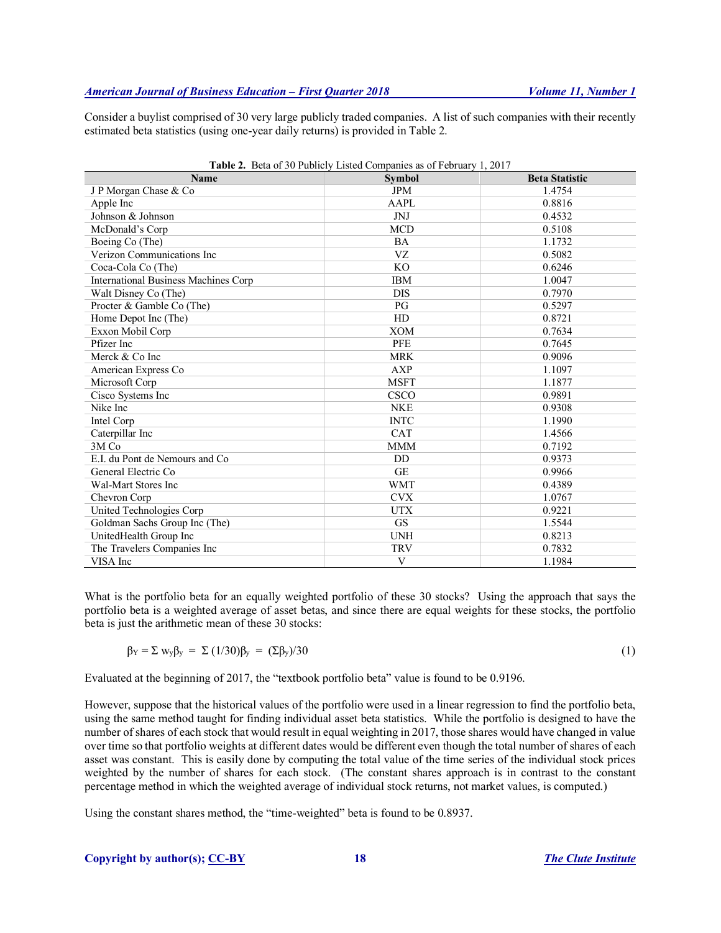Consider a buylist comprised of 30 very large publicly traded companies. A list of such companies with their recently estimated beta statistics (using one-year daily returns) is provided in Table 2.

| Table 2. Beta of 30 Publicly Listed Companies as of February 1, 2017 |               |                       |  |  |
|----------------------------------------------------------------------|---------------|-----------------------|--|--|
| <b>Name</b>                                                          | <b>Symbol</b> | <b>Beta Statistic</b> |  |  |
| J P Morgan Chase & Co                                                | <b>JPM</b>    | 1.4754                |  |  |
| Apple Inc                                                            | AAPL          | 0.8816                |  |  |
| Johnson & Johnson                                                    | <b>JNJ</b>    | 0.4532                |  |  |
| McDonald's Corp                                                      | <b>MCD</b>    | 0.5108                |  |  |
| Boeing Co (The)                                                      | <b>BA</b>     | 1.1732                |  |  |
| Verizon Communications Inc                                           | VZ            | 0.5082                |  |  |
| Coca-Cola Co (The)                                                   | KO            | 0.6246                |  |  |
| <b>International Business Machines Corp</b>                          | <b>IBM</b>    | 1.0047                |  |  |
| Walt Disney Co (The)                                                 | <b>DIS</b>    | 0.7970                |  |  |
| Procter & Gamble Co (The)                                            | PG            | 0.5297                |  |  |
| Home Depot Inc (The)                                                 | HD            | 0.8721                |  |  |
| Exxon Mobil Corp                                                     | <b>XOM</b>    | 0.7634                |  |  |
| Pfizer Inc                                                           | <b>PFE</b>    | 0.7645                |  |  |
| Merck & Co Inc                                                       | <b>MRK</b>    | 0.9096                |  |  |
| American Express Co                                                  | <b>AXP</b>    | 1.1097                |  |  |
| Microsoft Corp                                                       | <b>MSFT</b>   | 1.1877                |  |  |
| Cisco Systems Inc                                                    | CSCO          | 0.9891                |  |  |
| Nike Inc                                                             | <b>NKE</b>    | 0.9308                |  |  |
| Intel Corp                                                           | <b>INTC</b>   | 1.1990                |  |  |
| Caterpillar Inc                                                      | <b>CAT</b>    | 1.4566                |  |  |
| 3M Co                                                                | <b>MMM</b>    | 0.7192                |  |  |
| E.I. du Pont de Nemours and Co                                       | DD            | 0.9373                |  |  |
| General Electric Co.                                                 | <b>GE</b>     | 0.9966                |  |  |
| <b>Wal-Mart Stores Inc</b>                                           | <b>WMT</b>    | 0.4389                |  |  |
| Chevron Corp                                                         | <b>CVX</b>    | 1.0767                |  |  |
| United Technologies Corp                                             | <b>UTX</b>    | 0.9221                |  |  |
| Goldman Sachs Group Inc (The)                                        | <b>GS</b>     | 1.5544                |  |  |
| UnitedHealth Group Inc                                               | <b>UNH</b>    | 0.8213                |  |  |
| The Travelers Companies Inc                                          | <b>TRV</b>    | 0.7832                |  |  |
| VISA Inc                                                             | V             | 1.1984                |  |  |

What is the portfolio beta for an equally weighted portfolio of these 30 stocks? Using the approach that says the portfolio beta is a weighted average of asset betas, and since there are equal weights for these stocks, the portfolio beta is just the arithmetic mean of these 30 stocks:

$$
\beta_Y = \sum w_y \beta_y = \sum (1/30) \beta_y = (\sum \beta_y)/30 \tag{1}
$$

Evaluated at the beginning of 2017, the "textbook portfolio beta" value is found to be 0.9196.

However, suppose that the historical values of the portfolio were used in a linear regression to find the portfolio beta, using the same method taught for finding individual asset beta statistics. While the portfolio is designed to have the number of shares of each stock that would result in equal weighting in 2017, those shares would have changed in value over time so that portfolio weights at different dates would be different even though the total number of shares of each asset was constant. This is easily done by computing the total value of the time series of the individual stock prices weighted by the number of shares for each stock. (The constant shares approach is in contrast to the constant percentage method in which the weighted average of individual stock returns, not market values, is computed.)

Using the constant shares method, the "time-weighted" beta is found to be 0.8937.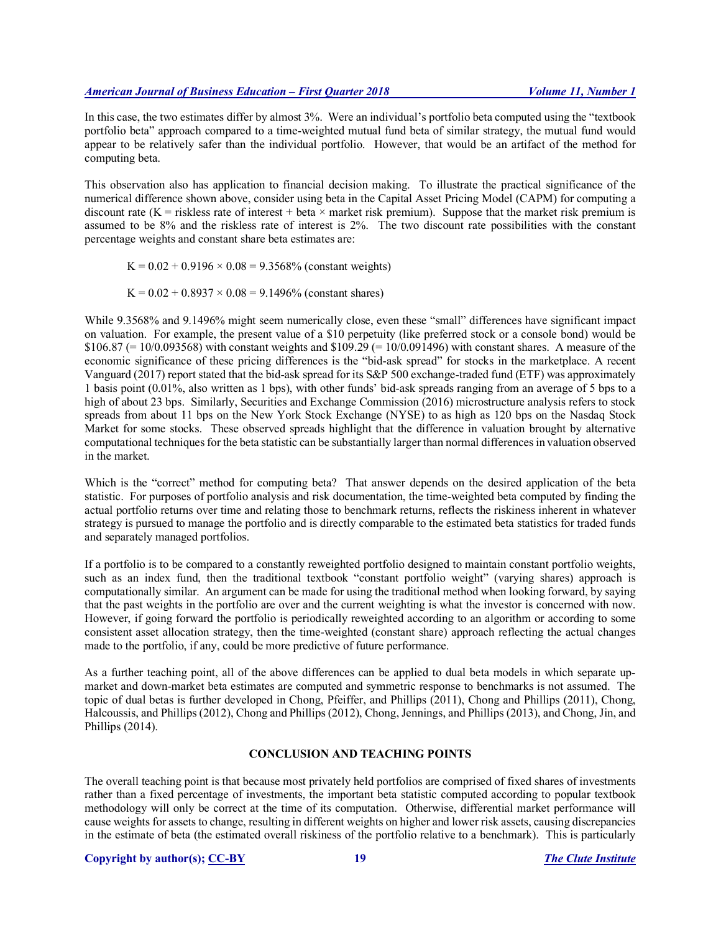In this case, the two estimates differ by almost 3%. Were an individual's portfolio beta computed using the "textbook portfolio beta" approach compared to a time-weighted mutual fund beta of similar strategy, the mutual fund would appear to be relatively safer than the individual portfolio. However, that would be an artifact of the method for computing beta.

This observation also has application to financial decision making. To illustrate the practical significance of the numerical difference shown above, consider using beta in the Capital Asset Pricing Model (CAPM) for computing a discount rate (K = riskless rate of interest + beta  $\times$  market risk premium). Suppose that the market risk premium is assumed to be 8% and the riskless rate of interest is 2%. The two discount rate possibilities with the constant percentage weights and constant share beta estimates are:

 $K = 0.02 + 0.9196 \times 0.08 = 9.3568\%$  (constant weights)

 $K = 0.02 + 0.8937 \times 0.08 = 9.1496\%$  (constant shares)

While 9.3568% and 9.1496% might seem numerically close, even these "small" differences have significant impact on valuation. For example, the present value of a \$10 perpetuity (like preferred stock or a console bond) would be \$106.87 (= 10/0.093568) with constant weights and \$109.29 (= 10/0.091496) with constant shares. A measure of the economic significance of these pricing differences is the "bid-ask spread" for stocks in the marketplace. A recent Vanguard (2017) report stated that the bid-ask spread for its S&P 500 exchange-traded fund (ETF) was approximately 1 basis point (0.01%, also written as 1 bps), with other funds' bid-ask spreads ranging from an average of 5 bps to a high of about 23 bps. Similarly, Securities and Exchange Commission (2016) microstructure analysis refers to stock spreads from about 11 bps on the New York Stock Exchange (NYSE) to as high as 120 bps on the Nasdaq Stock Market for some stocks. These observed spreads highlight that the difference in valuation brought by alternative computational techniques for the beta statistic can be substantially larger than normal differences in valuation observed in the market.

Which is the "correct" method for computing beta? That answer depends on the desired application of the beta statistic. For purposes of portfolio analysis and risk documentation, the time-weighted beta computed by finding the actual portfolio returns over time and relating those to benchmark returns, reflects the riskiness inherent in whatever strategy is pursued to manage the portfolio and is directly comparable to the estimated beta statistics for traded funds and separately managed portfolios.

If a portfolio is to be compared to a constantly reweighted portfolio designed to maintain constant portfolio weights, such as an index fund, then the traditional textbook "constant portfolio weight" (varying shares) approach is computationally similar. An argument can be made for using the traditional method when looking forward, by saying that the past weights in the portfolio are over and the current weighting is what the investor is concerned with now. However, if going forward the portfolio is periodically reweighted according to an algorithm or according to some consistent asset allocation strategy, then the time-weighted (constant share) approach reflecting the actual changes made to the portfolio, if any, could be more predictive of future performance.

As a further teaching point, all of the above differences can be applied to dual beta models in which separate upmarket and down-market beta estimates are computed and symmetric response to benchmarks is not assumed. The topic of dual betas is further developed in Chong, Pfeiffer, and Phillips (2011), Chong and Phillips (2011), Chong, Halcoussis, and Phillips (2012), Chong and Phillips (2012), Chong, Jennings, and Phillips (2013), and Chong, Jin, and Phillips (2014).

# **CONCLUSION AND TEACHING POINTS**

The overall teaching point is that because most privately held portfolios are comprised of fixed shares of investments rather than a fixed percentage of investments, the important beta statistic computed according to popular textbook methodology will only be correct at the time of its computation. Otherwise, differential market performance will cause weights for assets to change, resulting in different weights on higher and lower risk assets, causing discrepancies in the estimate of beta (the estimated overall riskiness of the portfolio relative to a benchmark). This is particularly

#### **Copyright by author(s); CC-BY 19** *The Clute Institute*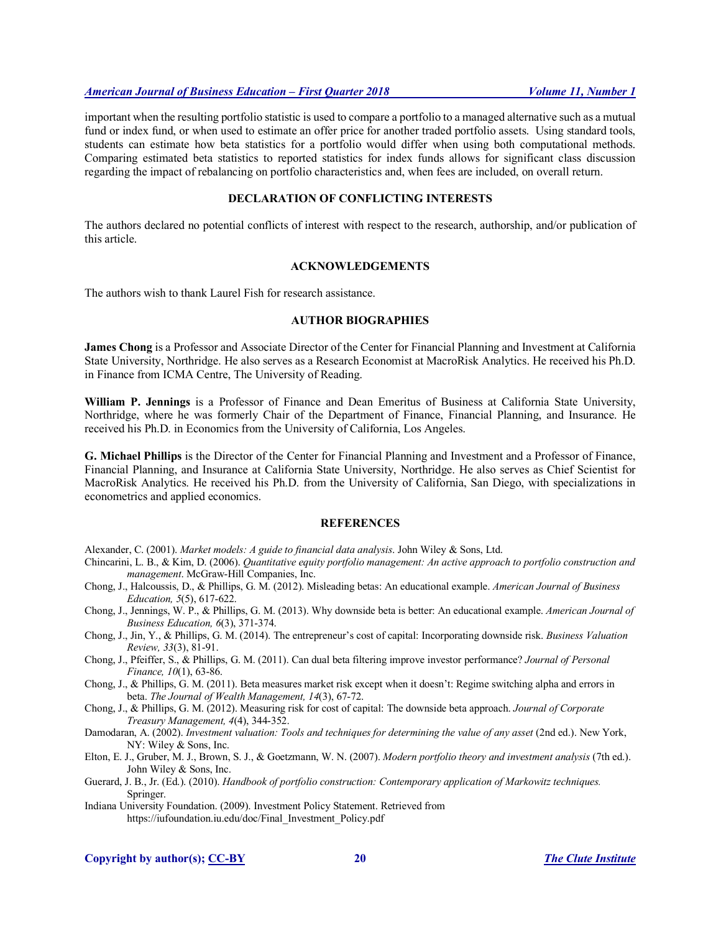important when the resulting portfolio statistic is used to compare a portfolio to a managed alternative such as a mutual fund or index fund, or when used to estimate an offer price for another traded portfolio assets. Using standard tools, students can estimate how beta statistics for a portfolio would differ when using both computational methods. Comparing estimated beta statistics to reported statistics for index funds allows for significant class discussion regarding the impact of rebalancing on portfolio characteristics and, when fees are included, on overall return.

# **DECLARATION OF CONFLICTING INTERESTS**

The authors declared no potential conflicts of interest with respect to the research, authorship, and/or publication of this article.

# **ACKNOWLEDGEMENTS**

The authors wish to thank Laurel Fish for research assistance.

#### **AUTHOR BIOGRAPHIES**

**James Chong** is a Professor and Associate Director of the Center for Financial Planning and Investment at California State University, Northridge. He also serves as a Research Economist at MacroRisk Analytics. He received his Ph.D. in Finance from ICMA Centre, The University of Reading.

**William P. Jennings** is a Professor of Finance and Dean Emeritus of Business at California State University, Northridge, where he was formerly Chair of the Department of Finance, Financial Planning, and Insurance. He received his Ph.D. in Economics from the University of California, Los Angeles.

**G. Michael Phillips** is the Director of the Center for Financial Planning and Investment and a Professor of Finance, Financial Planning, and Insurance at California State University, Northridge. He also serves as Chief Scientist for MacroRisk Analytics. He received his Ph.D. from the University of California, San Diego, with specializations in econometrics and applied economics.

#### **REFERENCES**

Alexander, C. (2001). *Market models: A guide to financial data analysis*. John Wiley & Sons, Ltd.

Chincarini, L. B., & Kim, D. (2006). *Quantitative equity portfolio management: An active approach to portfolio construction and management*. McGraw-Hill Companies, Inc.

- Chong, J., Halcoussis, D., & Phillips, G. M. (2012). Misleading betas: An educational example. *American Journal of Business Education, 5*(5), 617-622.
- Chong, J., Jennings, W. P., & Phillips, G. M. (2013). Why downside beta is better: An educational example. *American Journal of Business Education, 6*(3), 371-374.
- Chong, J., Jin, Y., & Phillips, G. M. (2014). The entrepreneur's cost of capital: Incorporating downside risk. *Business Valuation Review, 33*(3), 81-91.
- Chong, J., Pfeiffer, S., & Phillips, G. M. (2011). Can dual beta filtering improve investor performance? *Journal of Personal Finance, 10*(1), 63-86.
- Chong, J., & Phillips, G. M. (2011). Beta measures market risk except when it doesn't: Regime switching alpha and errors in beta. *The Journal of Wealth Management, 14*(3), 67-72.
- Chong, J., & Phillips, G. M. (2012). Measuring risk for cost of capital: The downside beta approach. *Journal of Corporate Treasury Management, 4*(4), 344-352.

Damodaran, A. (2002). *Investment valuation: Tools and techniques for determining the value of any asset* (2nd ed.). New York, NY: Wiley & Sons, Inc.

Elton, E. J., Gruber, M. J., Brown, S. J., & Goetzmann, W. N. (2007). *Modern portfolio theory and investment analysis* (7th ed.). John Wiley & Sons, Inc.

Guerard, J. B., Jr. (Ed.). (2010). *Handbook of portfolio construction: Contemporary application of Markowitz techniques.* Springer.

Indiana University Foundation. (2009). Investment Policy Statement. Retrieved from https://iufoundation.iu.edu/doc/Final\_Investment\_Policy.pdf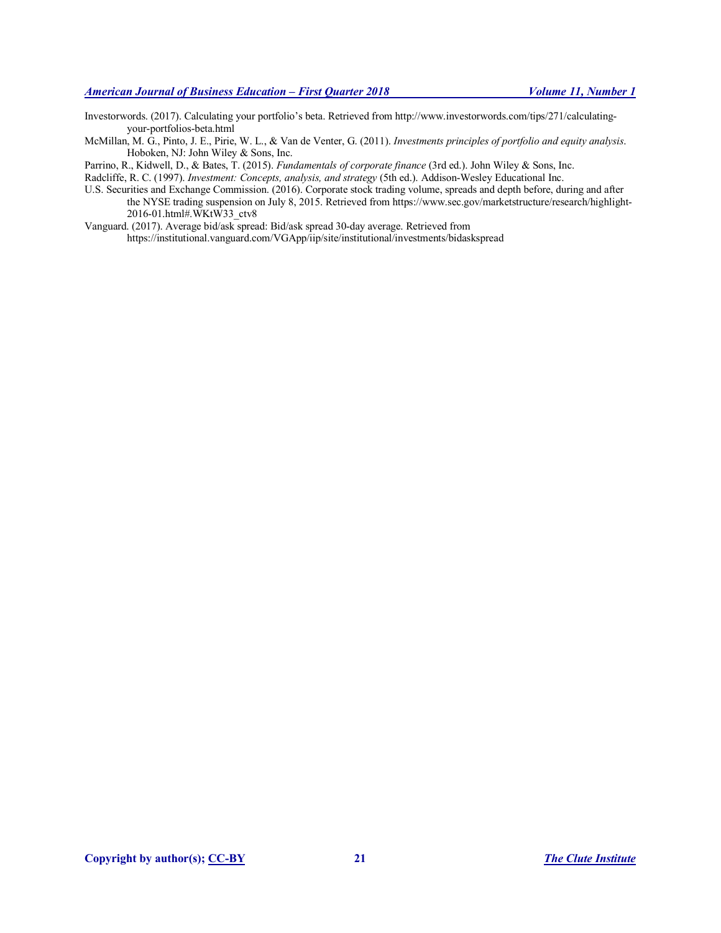Investorwords. (2017). Calculating your portfolio's beta. Retrieved from http://www.investorwords.com/tips/271/calculatingyour-portfolios-beta.html

McMillan, M. G., Pinto, J. E., Pirie, W. L., & Van de Venter, G. (2011). *Investments principles of portfolio and equity analysis*. Hoboken, NJ: John Wiley & Sons, Inc.

Parrino, R., Kidwell, D., & Bates, T. (2015). *Fundamentals of corporate finance* (3rd ed.). John Wiley & Sons, Inc.

Radcliffe, R. C. (1997). *Investment: Concepts, analysis, and strategy* (5th ed.). Addison-Wesley Educational Inc.

U.S. Securities and Exchange Commission. (2016). Corporate stock trading volume, spreads and depth before, during and after the NYSE trading suspension on July 8, 2015. Retrieved from https://www.sec.gov/marketstructure/research/highlight-2016-01.html#.WKtW33\_ctv8

Vanguard. (2017). Average bid/ask spread: Bid/ask spread 30-day average. Retrieved from https://institutional.vanguard.com/VGApp/iip/site/institutional/investments/bidaskspread